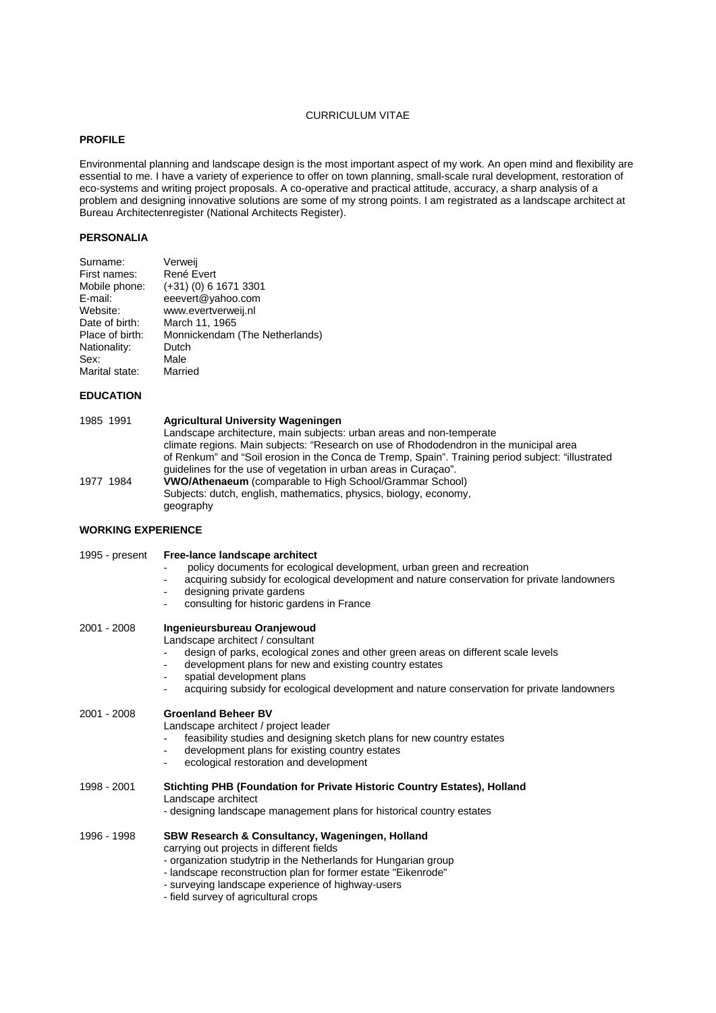# CURRICULUM VITAE

# **PROFILE**

Environmental planning and landscape design is the most important aspect of my work. An open mind and flexibility are essential to me. I have a variety of experience to offer on town planning, small-scale rural development, restoration of eco-systems and writing project proposals. A co-operative and practical attitude, accuracy, a sharp analysis of a problem and designing innovative solutions are some of my strong points. I am registrated as a landscape architect at Bureau Architectenregister (National Architects Register).

## **PERSONALIA**

| Verweij                        |
|--------------------------------|
| René Evert                     |
| (+31) (0) 6 1671 3301          |
| eeevert@yahoo.com              |
| www.evertverweij.nl            |
| March 11, 1965                 |
| Monnickendam (The Netherlands) |
| Dutch                          |
| Male                           |
| Married                        |
|                                |

#### **EDUCATION**

| 1985 1991 | <b>Agricultural University Wageningen</b>                                                          |
|-----------|----------------------------------------------------------------------------------------------------|
|           | Landscape architecture, main subjects: urban areas and non-temperate                               |
|           | climate regions. Main subjects: "Research on use of Rhododendron in the municipal area             |
|           | of Renkum" and "Soil erosion in the Conca de Tremp, Spain". Training period subject: "illustrated" |
|           | quidelines for the use of vegetation in urban areas in Curacao".                                   |
| 1977 1984 | <b>VWO/Athenaeum</b> (comparable to High School/Grammar School)                                    |
|           | Subjects: dutch, english, mathematics, physics, biology, economy,                                  |
|           | geography                                                                                          |
|           |                                                                                                    |

## **WORKING EXPERIENCE**

| 1995 - present | Free-lance landscape architect<br>policy documents for ecological development, urban green and recreation<br>acquiring subsidy for ecological development and nature conservation for private landowners<br>$\blacksquare$<br>designing private gardens<br>consulting for historic gardens in France                                                         |
|----------------|--------------------------------------------------------------------------------------------------------------------------------------------------------------------------------------------------------------------------------------------------------------------------------------------------------------------------------------------------------------|
| 2001 - 2008    | Ingenieursbureau Oranjewoud<br>Landscape architect / consultant<br>design of parks, ecological zones and other green areas on different scale levels<br>development plans for new and existing country estates<br>$\blacksquare$<br>spatial development plans<br>acquiring subsidy for ecological development and nature conservation for private landowners |
| 2001 - 2008    | <b>Groenland Beheer BV</b><br>Landscape architect / project leader<br>feasibility studies and designing sketch plans for new country estates<br>development plans for existing country estates<br>ecological restoration and development<br>$\overline{\phantom{a}}$                                                                                         |
| 1998 - 2001    | Stichting PHB (Foundation for Private Historic Country Estates), Holland<br>Landscape architect<br>- designing landscape management plans for historical country estates                                                                                                                                                                                     |
| 1996 - 1998    | SBW Research & Consultancy, Wageningen, Holland<br>carrying out projects in different fields<br>- organization studytrip in the Netherlands for Hungarian group<br>- landscape reconstruction plan for former estate "Eikenrode"<br>- surveying landscape experience of highway-users<br>- field survey of agricultural crops                                |